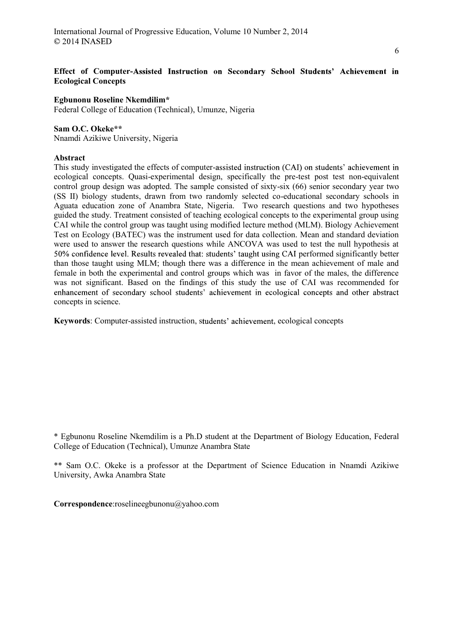## Egbunonu Roseline Nkemdilim\*

Federal College of Education (Technical), Umunze, Nigeria

# Sam O.C. Okeke\*\*

Nnamdi Azikiwe University, Nigeria

## Abstract

This study investigated the effects of computer-assisted instruction (CAI) on students' achievement in ecological concepts. Quasi-experimental design, specifically the pre-test post test non-equivalent control group design was adopted. The sample consisted of sixty-six (66) senior secondary year two (SS II) biology students, drawn from two randomly selected co-educational secondary schools in Aguata education zone of Anambra State, Nigeria. Two research questions and two hypotheses guided the study. Treatment consisted of teaching ecological concepts to the experimental group using CAI while the control group was taught using modified lecture method (MLM). Biology Achievement Test on Ecology (BATEC) was the instrument used for data collection. Mean and standard deviation were used to answer the research questions while ANCOVA was used to test the null hypothesis at 50% confidence level. Results revealed that: students' taught using CAI performed significantly better than those taught using MLM; though there was a difference in the mean achievement of male and female in both the experimental and control groups which was in favor of the males, the difference was not significant. Based on the findings of this study the use of CAI was recommended for enhancement of secondary school students' achievement in ecological concepts and other abstract concepts in science.

Keywords: Computer-assisted instruction, students' achievement, ecological concepts

\* Egbunonu Roseline Nkemdilim is a Ph.D student at the Department of Biology Education, Federal College of Education (Technical), Umunze Anambra State

\*\* Sam O.C. Okeke is a professor at the Department of Science Education in Nnamdi Azikiwe University, Awka Anambra State

Correspondence:roselineegbunonu@yahoo.com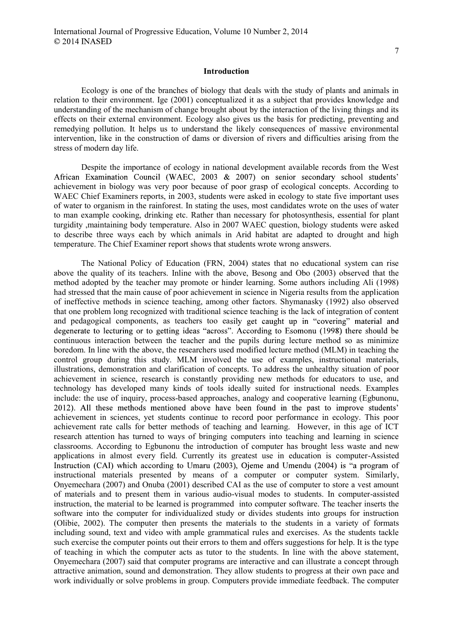### Introduction

Ecology is one of the branches of biology that deals with the study of plants and animals in relation to their environment. Ige (2001) conceptualized it as a subject that provides knowledge and understanding of the mechanism of change brought about by the interaction of the living things and its effects on their external environment. Ecology also gives us the basis for predicting, preventing and remedying pollution. It helps us to understand the likely consequences of massive environmental intervention, like in the construction of dams or diversion of rivers and difficulties arising from the stress of modern day life.

Despite the importance of ecology in national development available records from the West African Examination Council (WAEC, 2003 & 2007) on senior secondary school students' achievement in biology was very poor because of poor grasp of ecological concepts. According to WAEC Chief Examiners reports, in 2003, students were asked in ecology to state five important uses of water to organism in the rainforest. In stating the uses, most candidates wrote on the uses of water to man example cooking, drinking etc. Rather than necessary for photosynthesis, essential for plant turgidity ,maintaining body temperature. Also in 2007 WAEC question, biology students were asked to describe three ways each by which animals in Arid habitat are adapted to drought and high temperature. The Chief Examiner report shows that students wrote wrong answers.

The National Policy of Education (FRN, 2004) states that no educational system can rise above the quality of its teachers. Inline with the above, Besong and Obo (2003) observed that the method adopted by the teacher may promote or hinder learning. Some authors including Ali (1998) had stressed that the main cause of poor achievement in science in Nigeria results from the application of ineffective methods in science teaching, among other factors. Shymanasky (1992) also observed that one problem long recognized with traditional science teaching is the lack of integration of content and pedagogical components, as teachers too easily get caught up in "covering" material and degenerate to lecturing or to getting ideas "across". According to Esomonu (1998) there should be continuous interaction between the teacher and the pupils during lecture method so as minimize boredom. In line with the above, the researchers used modified lecture method (MLM) in teaching the control group during this study. MLM involved the use of examples, instructional materials, illustrations, demonstration and clarification of concepts. To address the unhealthy situation of poor achievement in science, research is constantly providing new methods for educators to use, and technology has developed many kinds of tools ideally suited for instructional needs. Examples include: the use of inquiry, process-based approaches, analogy and cooperative learning (Egbunonu, 2012). All these methods mentioned above have been found in the past to improve students' achievement in sciences, yet students continue to record poor performance in ecology. This poor achievement rate calls for better methods of teaching and learning. However, in this age of ICT research attention has turned to ways of bringing computers into teaching and learning in science classrooms. According to Egbunonu the introduction of computer has brought less waste and new applications in almost every field. Currently its greatest use in education is computer-Assisted Instruction (CAI) which according to Umaru (2003), Ojeme and Umendu (2004) is "a program of instructional materials presented by means of a computer or computer system. Similarly, Onyemechara (2007) and Onuba (2001) described CAI as the use of computer to store a vest amount of materials and to present them in various audio-visual modes to students. In computer-assisted instruction, the material to be learned is programmed into computer software. The teacher inserts the software into the computer for individualized study or divides students into groups for instruction (Olibie, 2002). The computer then presents the materials to the students in a variety of formats including sound, text and video with ample grammatical rules and exercises. As the students tackle such exercise the computer points out their errors to them and offers suggestions for help. It is the type of teaching in which the computer acts as tutor to the students. In line with the above statement, Onyemechara (2007) said that computer programs are interactive and can illustrate a concept through attractive animation, sound and demonstration. They allow students to progress at their own pace and work individually or solve problems in group. Computers provide immediate feedback. The computer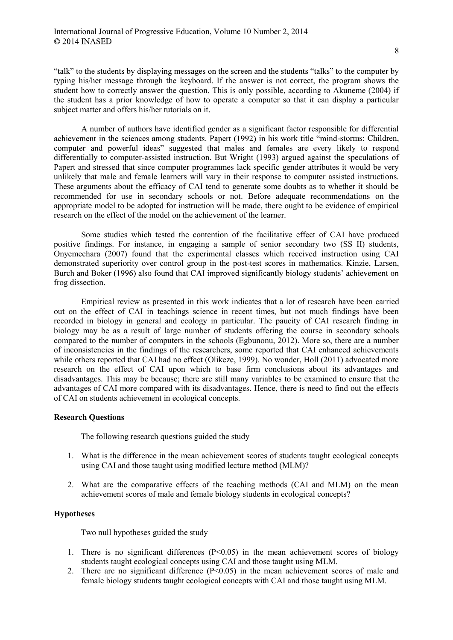"talk" to the students by displaying messages on the screen and the students "talks" to the computer by typing his/her message through the keyboard. If the answer is not correct, the program shows the student how to correctly answer the question. This is only possible, according to Akuneme (2004) if the student has a prior knowledge of how to operate a computer so that it can display a particular subject matter and offers his/her tutorials on it.

A number of authors have identified gender as a significant factor responsible for differential achievement in the sciences among students. Papert  $(1992)$  in his work title "mind-storms: Children, computer and powerful ideas" suggested that males and females are every likely to respond differentially to computer-assisted instruction. But Wright (1993) argued against the speculations of Papert and stressed that since computer programmes lack specific gender attributes it would be very unlikely that male and female learners will vary in their response to computer assisted instructions. These arguments about the efficacy of CAI tend to generate some doubts as to whether it should be recommended for use in secondary schools or not. Before adequate recommendations on the appropriate model to be adopted for instruction will be made, there ought to be evidence of empirical research on the effect of the model on the achievement of the learner.

Some studies which tested the contention of the facilitative effect of CAI have produced positive findings. For instance, in engaging a sample of senior secondary two (SS II) students, Onyemechara (2007) found that the experimental classes which received instruction using CAI demonstrated superiority over control group in the post-test scores in mathematics. Kinzie, Larsen, Burch and Boker (1996) also found that CAI improved significantly biology students' achievement on frog dissection.

Empirical review as presented in this work indicates that a lot of research have been carried out on the effect of CAI in teachings science in recent times, but not much findings have been recorded in biology in general and ecology in particular. The paucity of CAI research finding in biology may be as a result of large number of students offering the course in secondary schools compared to the number of computers in the schools (Egbunonu, 2012). More so, there are a number of inconsistencies in the findings of the researchers, some reported that CAI enhanced achievements while others reported that CAI had no effect (Olikeze, 1999). No wonder, Holl (2011) advocated more research on the effect of CAI upon which to base firm conclusions about its advantages and disadvantages. This may be because; there are still many variables to be examined to ensure that the advantages of CAI more compared with its disadvantages. Hence, there is need to find out the effects of CAI on students achievement in ecological concepts.

### Research Questions

The following research questions guided the study

- 1. What is the difference in the mean achievement scores of students taught ecological concepts using CAI and those taught using modified lecture method (MLM)?
- 2. What are the comparative effects of the teaching methods (CAI and MLM) on the mean achievement scores of male and female biology students in ecological concepts?

## Hypotheses

Two null hypotheses guided the study

- 1. There is no significant differences  $(P<0.05)$  in the mean achievement scores of biology students taught ecological concepts using CAI and those taught using MLM.
- 2. There are no significant difference  $(P<0.05)$  in the mean achievement scores of male and female biology students taught ecological concepts with CAI and those taught using MLM.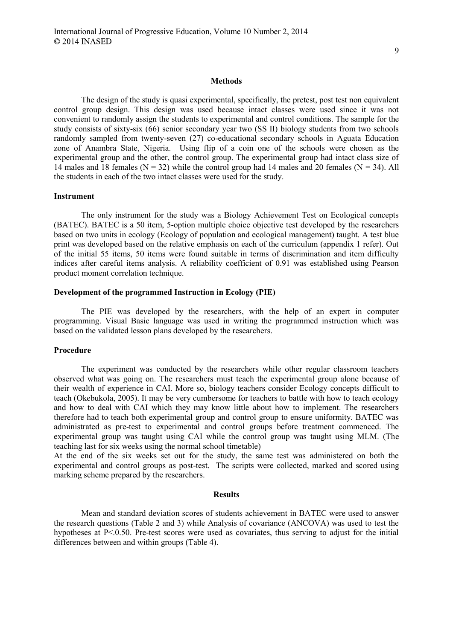#### **Methods**

The design of the study is quasi experimental, specifically, the pretest, post test non equivalent control group design. This design was used because intact classes were used since it was not convenient to randomly assign the students to experimental and control conditions. The sample for the study consists of sixty-six (66) senior secondary year two (SS II) biology students from two schools randomly sampled from twenty-seven (27) co-educational secondary schools in Aguata Education zone of Anambra State, Nigeria. Using flip of a coin one of the schools were chosen as the experimental group and the other, the control group. The experimental group had intact class size of 14 males and 18 females ( $N = 32$ ) while the control group had 14 males and 20 females ( $N = 34$ ). All the students in each of the two intact classes were used for the study.

### **Instrument**

The only instrument for the study was a Biology Achievement Test on Ecological concepts (BATEC). BATEC is a 50 item, 5-option multiple choice objective test developed by the researchers based on two units in ecology (Ecology of population and ecological management) taught. A test blue print was developed based on the relative emphasis on each of the curriculum (appendix 1 refer). Out of the initial 55 items, 50 items were found suitable in terms of discrimination and item difficulty indices after careful items analysis. A reliability coefficient of 0.91 was established using Pearson product moment correlation technique.

#### Development of the programmed Instruction in Ecology (PIE)

The PIE was developed by the researchers, with the help of an expert in computer programming. Visual Basic language was used in writing the programmed instruction which was based on the validated lesson plans developed by the researchers.

### Procedure

The experiment was conducted by the researchers while other regular classroom teachers observed what was going on. The researchers must teach the experimental group alone because of their wealth of experience in CAI. More so, biology teachers consider Ecology concepts difficult to teach (Okebukola, 2005). It may be very cumbersome for teachers to battle with how to teach ecology and how to deal with CAI which they may know little about how to implement. The researchers therefore had to teach both experimental group and control group to ensure uniformity. BATEC was administrated as pre-test to experimental and control groups before treatment commenced. The experimental group was taught using CAI while the control group was taught using MLM. (The teaching last for six weeks using the normal school timetable)

At the end of the six weeks set out for the study, the same test was administered on both the experimental and control groups as post-test. The scripts were collected, marked and scored using marking scheme prepared by the researchers.

#### **Results**

Mean and standard deviation scores of students achievement in BATEC were used to answer the research questions (Table 2 and 3) while Analysis of covariance (ANCOVA) was used to test the hypotheses at P<.0.50. Pre-test scores were used as covariates, thus serving to adjust for the initial differences between and within groups (Table 4).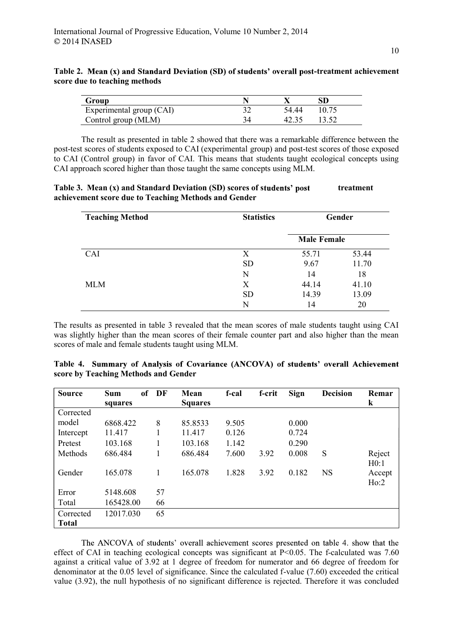| Group                    |    |       |       |
|--------------------------|----|-------|-------|
| Experimental group (CAI) |    | 54.44 | 10.75 |
| Control group (MLM)      | 34 |       |       |

Table 2. Mean (x) and Standard Deviation (SD) of students' overall post-treatment achievement score due to teaching methods

The result as presented in table 2 showed that there was a remarkable difference between the post-test scores of students exposed to CAI (experimental group) and post-test scores of those exposed to CAI (Control group) in favor of CAI. This means that students taught ecological concepts using CAI approach scored higher than those taught the same concepts using MLM.

|                                                      | Table 3. Mean (x) and Standard Deviation (SD) scores of students' post | treatment |  |  |  |
|------------------------------------------------------|------------------------------------------------------------------------|-----------|--|--|--|
| achievement score due to Teaching Methods and Gender |                                                                        |           |  |  |  |

| <b>Teaching Method</b> | <b>Statistics</b> | Gender             |       |  |
|------------------------|-------------------|--------------------|-------|--|
|                        |                   | <b>Male Female</b> |       |  |
| CAI                    | X                 | 55.71              | 53.44 |  |
|                        | <b>SD</b>         | 9.67               | 11.70 |  |
|                        | N                 | 14                 | 18    |  |
| <b>MLM</b>             | X                 | 44.14              | 41.10 |  |
|                        | <b>SD</b>         | 14.39              | 13.09 |  |
|                        | N                 | 14                 | 20    |  |

The results as presented in table 3 revealed that the mean scores of male students taught using CAI was slightly higher than the mean scores of their female counter part and also higher than the mean scores of male and female students taught using MLM.

| <b>Source</b> | of<br><b>Sum</b> | DF | Mean           | f-cal | f-crit | <b>Sign</b> | <b>Decision</b> | Remar   |
|---------------|------------------|----|----------------|-------|--------|-------------|-----------------|---------|
|               | squares          |    | <b>Squares</b> |       |        |             |                 | $\bf k$ |
| Corrected     |                  |    |                |       |        |             |                 |         |
| model         | 6868.422         | 8  | 85.8533        | 9.505 |        | 0.000       |                 |         |
| Intercept     | 11.417           |    | 11.417         | 0.126 |        | 0.724       |                 |         |
| Pretest       | 103.168          |    | 103.168        | 1.142 |        | 0.290       |                 |         |
| Methods       | 686.484          |    | 686.484        | 7.600 | 3.92   | 0.008       | S               | Reject  |
|               |                  |    |                |       |        |             |                 | H0:1    |
| Gender        | 165.078          |    | 165.078        | 1.828 | 3.92   | 0.182       | <b>NS</b>       | Accept  |
|               |                  |    |                |       |        |             |                 | Ho:2    |
| Error         | 5148.608         | 57 |                |       |        |             |                 |         |
| Total         | 165428.00        | 66 |                |       |        |             |                 |         |
| Corrected     | 12017.030        | 65 |                |       |        |             |                 |         |
| <b>Total</b>  |                  |    |                |       |        |             |                 |         |

Table 4. Summary of Analysis of Covariance (ANCOVA) of students' overall Achievement score by Teaching Methods and Gender

The ANCOVA of students' overall achievement scores presented on table 4. show that the effect of CAI in teaching ecological concepts was significant at P<0.05. The f-calculated was 7.60 against a critical value of 3.92 at 1 degree of freedom for numerator and 66 degree of freedom for denominator at the 0.05 level of significance. Since the calculated f-value (7.60) exceeded the critical value (3.92), the null hypothesis of no significant difference is rejected. Therefore it was concluded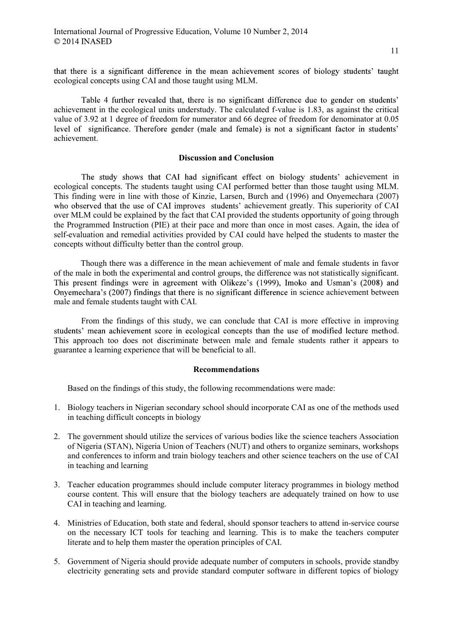that there is a significant difference in the mean achievement scores of biology students' taught ecological concepts using CAI and those taught using MLM.

Table 4 further revealed that, there is no significant difference due to gender on students' achievement in the ecological units understudy. The calculated f-value is 1.83, as against the critical value of 3.92 at 1 degree of freedom for numerator and 66 degree of freedom for denominator at 0.05 level of significance. Therefore gender (male and female) is not a significant factor in students' achievement.

## Discussion and Conclusion

The study shows that CAI had significant effect on biology students' achievement in ecological concepts. The students taught using CAI performed better than those taught using MLM. This finding were in line with those of Kinzie, Larsen, Burch and (1996) and Onyemechara (2007) who observed that the use of CAI improves students' achievement greatly. This superiority of CAI over MLM could be explained by the fact that CAI provided the students opportunity of going through the Programmed Instruction (PIE) at their pace and more than once in most cases. Again, the idea of self-evaluation and remedial activities provided by CAI could have helped the students to master the concepts without difficulty better than the control group.

Though there was a difference in the mean achievement of male and female students in favor of the male in both the experimental and control groups, the difference was not statistically significant. This present findings were in agreement with Olikeze's (1999), Imoko and Usman's (2008) and Onyemechara's (2007) findings that there is no significant difference in science achievement between male and female students taught with CAI.

From the findings of this study, we can conclude that CAI is more effective in improving students' mean achievement score in ecological concepts than the use of modified lecture method. This approach too does not discriminate between male and female students rather it appears to guarantee a learning experience that will be beneficial to all.

### Recommendations

Based on the findings of this study, the following recommendations were made:

- 1. Biology teachers in Nigerian secondary school should incorporate CAI as one of the methods used in teaching difficult concepts in biology
- 2. The government should utilize the services of various bodies like the science teachers Association of Nigeria (STAN), Nigeria Union of Teachers (NUT) and others to organize seminars, workshops and conferences to inform and train biology teachers and other science teachers on the use of CAI in teaching and learning
- 3. Teacher education programmes should include computer literacy programmes in biology method course content. This will ensure that the biology teachers are adequately trained on how to use CAI in teaching and learning.
- 4. Ministries of Education, both state and federal, should sponsor teachers to attend in-service course on the necessary ICT tools for teaching and learning. This is to make the teachers computer literate and to help them master the operation principles of CAI.
- 5. Government of Nigeria should provide adequate number of computers in schools, provide standby electricity generating sets and provide standard computer software in different topics of biology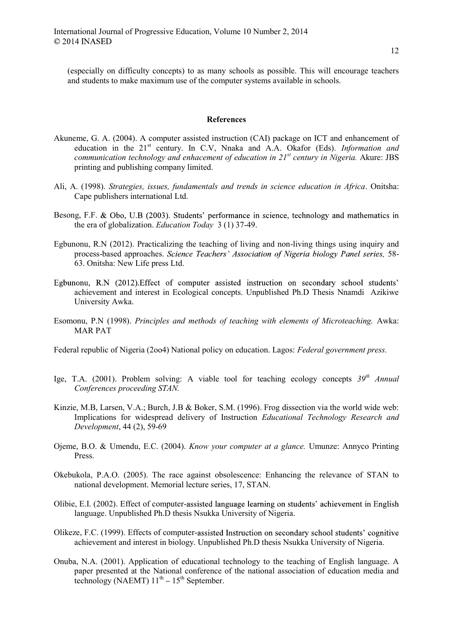#### References

- Akuneme, G. A. (2004). A computer assisted instruction (CAI) package on ICT and enhancement of education in the  $21<sup>st</sup>$  century. In C.V, Nnaka and A.A. Okafor (Eds). Information and communication technology and enhacement of education in  $21^{st}$  century in Nigeria. Akure: JBS printing and publishing company limited.
- Ali, A. (1998). Strategies, issues, fundamentals and trends in science education in Africa. Onitsha: Cape publishers international Ltd.
- Besong, F.F. & Obo, U.B (2003). Students' performance in science, technology and mathematics in the era of globalization. Education Today 3 (1) 37-49.
- Egbunonu, R.N (2012). Practicalizing the teaching of living and non-living things using inquiry and process-based approaches. Science Teachers' Association of Nigeria biology Panel series, 58-63. Onitsha: New Life press Ltd.
- Egbunonu, R.N (2012). Effect of computer assisted instruction on secondary school students' achievement and interest in Ecological concepts. Unpublished Ph.D Thesis Nnamdi Azikiwe University Awka.
- Esomonu, P.N (1998). Principles and methods of teaching with elements of Microteaching. Awka: MAR PAT

Federal republic of Nigeria (2oo4) National policy on education. Lagos: Federal government press.

- Ige, T.A. (2001). Problem solving: A viable tool for teaching ecology concepts  $39<sup>th</sup>$  Annual Conferences proceeding STAN.
- Kinzie, M.B, Larsen, V.A.; Burch, J.B & Boker, S.M. (1996). Frog dissection via the world wide web: Implications for widespread delivery of Instruction Educational Technology Research and Development, 44 (2), 59-69
- Ojeme, B.O. & Umendu, E.C. (2004). Know your computer at a glance. Umunze: Annyco Printing Press.
- Okebukola, P.A.O. (2005). The race against obsolescence: Enhancing the relevance of STAN to national development. Memorial lecture series, 17, STAN.
- Olibie, E.I. (2002). Effect of computer-assisted language learning on students' achievement in English language. Unpublished Ph.D thesis Nsukka University of Nigeria.
- Olikeze, F.C. (1999). Effects of computer-assisted Instruction on secondary school students' cognitive achievement and interest in biology. Unpublished Ph.D thesis Nsukka University of Nigeria.
- Onuba, N.A. (2001). Application of educational technology to the teaching of English language. A paper presented at the National conference of the national association of education media and technology (NAEMT)  $11^{th} - 15^{th}$  September.